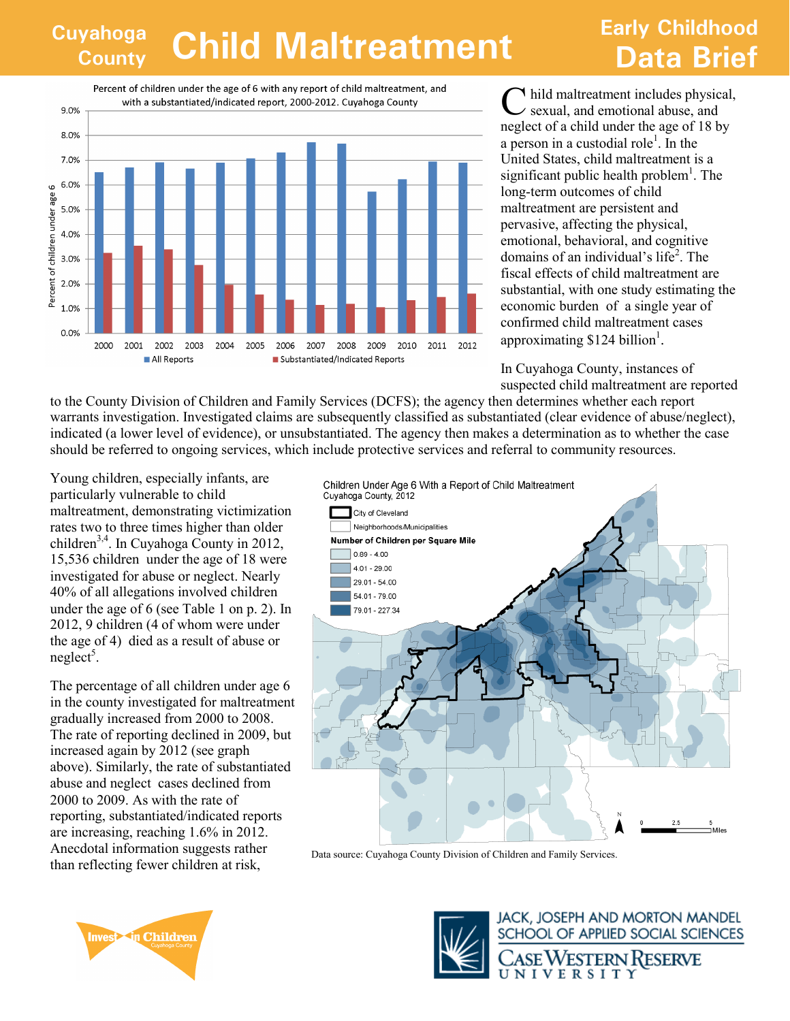## **Cuyahoga County Child Maltreatment Data Brief**

## **Early Childhood**

Percent of children under the age of 6 with any report of child maltreatment, and with a substantiated/indicated report, 2000-2012. Cuyahoga County



C hild maltreatment includes physical,  $\angle$  sexual, and emotional abuse, and neglect of a child under the age of 18 by a person in a custodial role<sup>1</sup>. In the United States, child maltreatment is a significant public health problem<sup>1</sup>. The long-term outcomes of child maltreatment are persistent and pervasive, affecting the physical, emotional, behavioral, and cognitive domains of an individual's life<sup>2</sup>. The fiscal effects of child maltreatment are substantial, with one study estimating the economic burden of a single year of confirmed child maltreatment cases approximating \$124 billion<sup>1</sup>.

In Cuyahoga County, instances of suspected child maltreatment are reported

to the County Division of Children and Family Services (DCFS); the agency then determines whether each report warrants investigation. Investigated claims are subsequently classified as substantiated (clear evidence of abuse/neglect), indicated (a lower level of evidence), or unsubstantiated. The agency then makes a determination as to whether the case should be referred to ongoing services, which include protective services and referral to community resources.

Young children, especially infants, are particularly vulnerable to child maltreatment, demonstrating victimization rates two to three times higher than older children<sup>3,4</sup>. In Cuyahoga County in 2012, 15,536 children under the age of 18 were investigated for abuse or neglect. Nearly 40% of all allegations involved children under the age of 6 (see Table 1 on p. 2). In 2012, 9 children (4 of whom were under the age of 4) died as a result of abuse or  $neighbor<sup>5</sup>$ .

The percentage of all children under age 6 in the county investigated for maltreatment gradually increased from 2000 to 2008. The rate of reporting declined in 2009, but increased again by 2012 (see graph above). Similarly, the rate of substantiated abuse and neglect cases declined from 2000 to 2009. As with the rate of reporting, substantiated/indicated reports are increasing, reaching 1.6% in 2012. Anecdotal information suggests rather than reflecting fewer children at risk,



Data source: Cuyahoga County Division of Children and Family Services.





**JACK, JOSEPH AND MORTON MANDEL** SCHOOL OF APPLIED SOCIAL SCIENCES

SE WESTERN RESERVE NIVERSITY